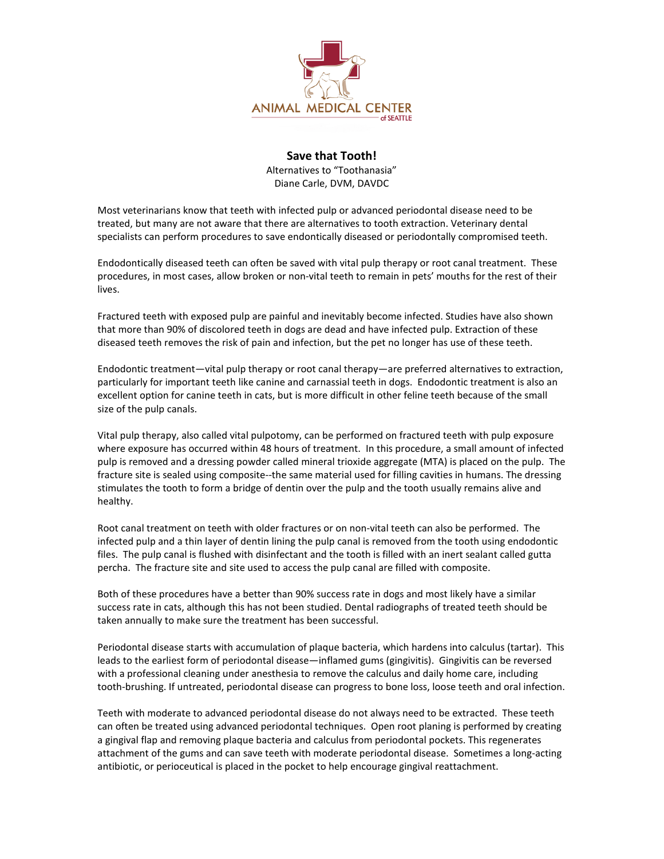

## **Save that Tooth!**

Alternatives to "Toothanasia" Diane Carle, DVM, DAVDC

Most veterinarians know that teeth with infected pulp or advanced periodontal disease need to be treated, but many are not aware that there are alternatives to tooth extraction. Veterinary dental specialists can perform procedures to save endontically diseased or periodontally compromised teeth.

Endodontically diseased teeth can often be saved with vital pulp therapy or root canal treatment. These procedures, in most cases, allow broken or non-vital teeth to remain in pets' mouths for the rest of their lives.

Fractured teeth with exposed pulp are painful and inevitably become infected. Studies have also shown that more than 90% of discolored teeth in dogs are dead and have infected pulp. Extraction of these diseased teeth removes the risk of pain and infection, but the pet no longer has use of these teeth.

Endodontic treatment—vital pulp therapy or root canal therapy—are preferred alternatives to extraction, particularly for important teeth like canine and carnassial teeth in dogs. Endodontic treatment is also an excellent option for canine teeth in cats, but is more difficult in other feline teeth because of the small size of the pulp canals.

Vital pulp therapy, also called vital pulpotomy, can be performed on fractured teeth with pulp exposure where exposure has occurred within 48 hours of treatment. In this procedure, a small amount of infected pulp is removed and a dressing powder called mineral trioxide aggregate (MTA) is placed on the pulp. The fracture site is sealed using composite--the same material used for filling cavities in humans. The dressing stimulates the tooth to form a bridge of dentin over the pulp and the tooth usually remains alive and healthy.

Root canal treatment on teeth with older fractures or on non-vital teeth can also be performed. The infected pulp and a thin layer of dentin lining the pulp canal is removed from the tooth using endodontic files. The pulp canal is flushed with disinfectant and the tooth is filled with an inert sealant called gutta percha. The fracture site and site used to access the pulp canal are filled with composite.

Both of these procedures have a better than 90% success rate in dogs and most likely have a similar success rate in cats, although this has not been studied. Dental radiographs of treated teeth should be taken annually to make sure the treatment has been successful.

Periodontal disease starts with accumulation of plaque bacteria, which hardens into calculus (tartar). This leads to the earliest form of periodontal disease—inflamed gums (gingivitis). Gingivitis can be reversed with a professional cleaning under anesthesia to remove the calculus and daily home care, including tooth-brushing. If untreated, periodontal disease can progress to bone loss, loose teeth and oral infection.

Teeth with moderate to advanced periodontal disease do not always need to be extracted. These teeth can often be treated using advanced periodontal techniques. Open root planing is performed by creating a gingival flap and removing plaque bacteria and calculus from periodontal pockets. This regenerates attachment of the gums and can save teeth with moderate periodontal disease. Sometimes a long-acting antibiotic, or perioceutical is placed in the pocket to help encourage gingival reattachment.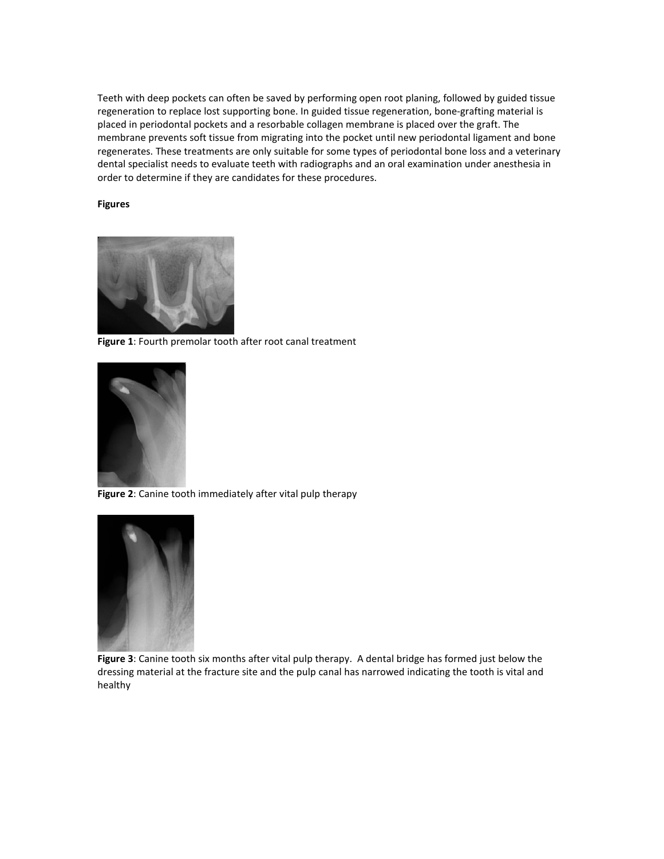Teeth with deep pockets can often be saved by performing open root planing, followed by guided tissue regeneration to replace lost supporting bone. In guided tissue regeneration, bone-grafting material is placed in periodontal pockets and a resorbable collagen membrane is placed over the graft. The membrane prevents soft tissue from migrating into the pocket until new periodontal ligament and bone regenerates. These treatments are only suitable for some types of periodontal bone loss and a veterinary dental specialist needs to evaluate teeth with radiographs and an oral examination under anesthesia in order to determine if they are candidates for these procedures.

## **Figures**



**Figure 1**: Fourth premolar tooth after root canal treatment



**Figure 2**: Canine tooth immediately after vital pulp therapy



**Figure 3**: Canine tooth six months after vital pulp therapy. A dental bridge has formed just below the dressing material at the fracture site and the pulp canal has narrowed indicating the tooth is vital and healthy